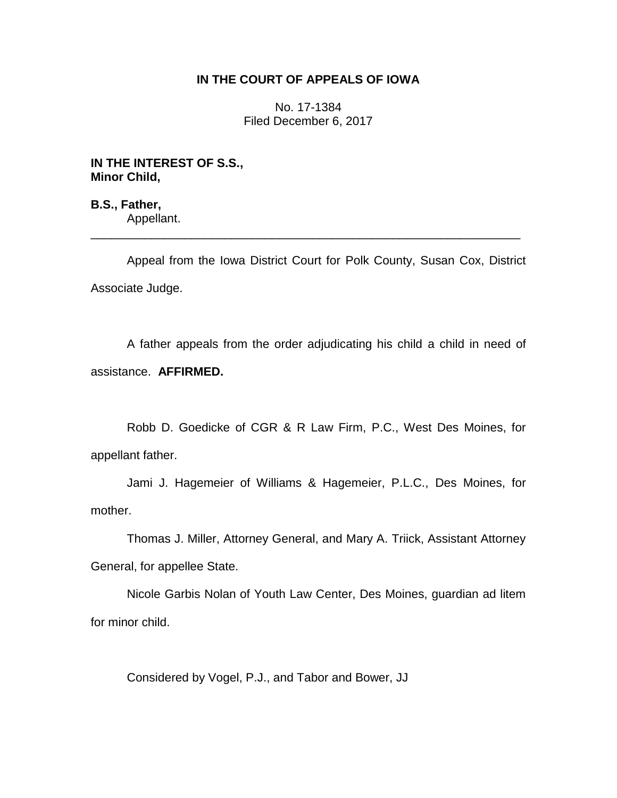# **IN THE COURT OF APPEALS OF IOWA**

No. 17-1384 Filed December 6, 2017

**IN THE INTEREST OF S.S., Minor Child,**

**B.S., Father,** Appellant.

Appeal from the Iowa District Court for Polk County, Susan Cox, District Associate Judge.

\_\_\_\_\_\_\_\_\_\_\_\_\_\_\_\_\_\_\_\_\_\_\_\_\_\_\_\_\_\_\_\_\_\_\_\_\_\_\_\_\_\_\_\_\_\_\_\_\_\_\_\_\_\_\_\_\_\_\_\_\_\_\_\_

A father appeals from the order adjudicating his child a child in need of assistance. **AFFIRMED.**

Robb D. Goedicke of CGR & R Law Firm, P.C., West Des Moines, for appellant father.

Jami J. Hagemeier of Williams & Hagemeier, P.L.C., Des Moines, for mother.

Thomas J. Miller, Attorney General, and Mary A. Triick, Assistant Attorney General, for appellee State.

Nicole Garbis Nolan of Youth Law Center, Des Moines, guardian ad litem for minor child.

Considered by Vogel, P.J., and Tabor and Bower, JJ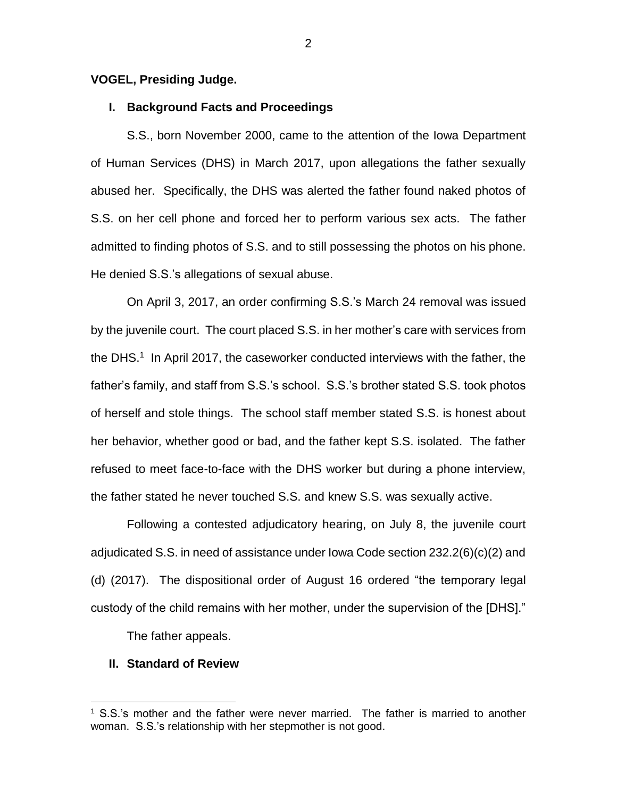### **VOGEL, Presiding Judge.**

## **I. Background Facts and Proceedings**

S.S., born November 2000, came to the attention of the Iowa Department of Human Services (DHS) in March 2017, upon allegations the father sexually abused her. Specifically, the DHS was alerted the father found naked photos of S.S. on her cell phone and forced her to perform various sex acts. The father admitted to finding photos of S.S. and to still possessing the photos on his phone. He denied S.S.'s allegations of sexual abuse.

On April 3, 2017, an order confirming S.S.'s March 24 removal was issued by the juvenile court. The court placed S.S. in her mother's care with services from the DHS.<sup>1</sup> In April 2017, the caseworker conducted interviews with the father, the father's family, and staff from S.S.'s school. S.S.'s brother stated S.S. took photos of herself and stole things. The school staff member stated S.S. is honest about her behavior, whether good or bad, and the father kept S.S. isolated. The father refused to meet face-to-face with the DHS worker but during a phone interview, the father stated he never touched S.S. and knew S.S. was sexually active.

Following a contested adjudicatory hearing, on July 8, the juvenile court adjudicated S.S. in need of assistance under Iowa Code section 232.2(6)(c)(2) and (d) (2017). The dispositional order of August 16 ordered "the temporary legal custody of the child remains with her mother, under the supervision of the [DHS]."

The father appeals.

### **II. Standard of Review**

 $\overline{a}$ 

<sup>1</sup> S.S.'s mother and the father were never married. The father is married to another woman. S.S.'s relationship with her stepmother is not good.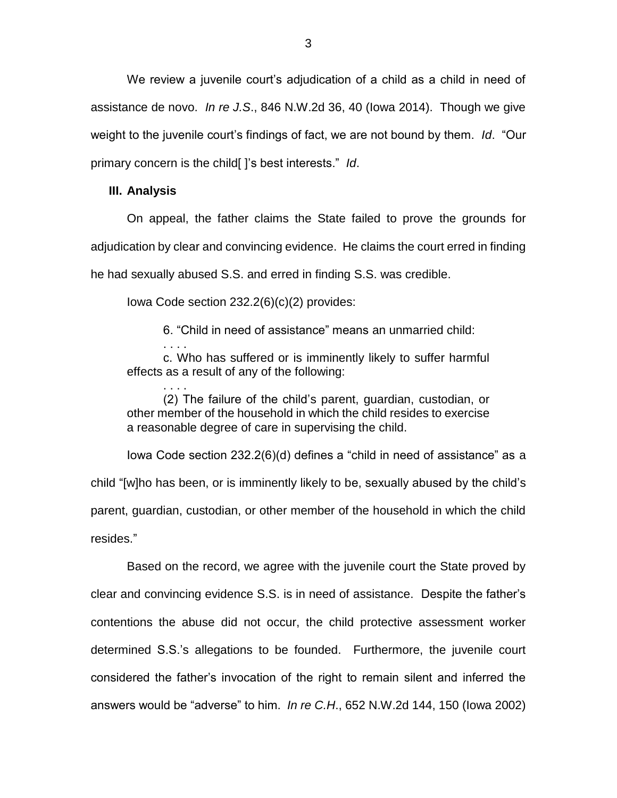We review a juvenile court's adjudication of a child as a child in need of assistance de novo. *In re J.S*., 846 N.W.2d 36, 40 (Iowa 2014). Though we give weight to the juvenile court's findings of fact, we are not bound by them. *Id*. "Our primary concern is the child[ ]'s best interests." *Id*.

### **III. Analysis**

. . . .

. . . .

On appeal, the father claims the State failed to prove the grounds for adjudication by clear and convincing evidence. He claims the court erred in finding he had sexually abused S.S. and erred in finding S.S. was credible.

Iowa Code section 232.2(6)(c)(2) provides:

6. "Child in need of assistance" means an unmarried child:

c. Who has suffered or is imminently likely to suffer harmful effects as a result of any of the following:

(2) The failure of the child's parent, guardian, custodian, or other member of the household in which the child resides to exercise a reasonable degree of care in supervising the child.

Iowa Code section 232.2(6)(d) defines a "child in need of assistance" as a child "[w]ho has been, or is imminently likely to be, sexually abused by the child's parent, guardian, custodian, or other member of the household in which the child resides."

Based on the record, we agree with the juvenile court the State proved by clear and convincing evidence S.S. is in need of assistance. Despite the father's contentions the abuse did not occur, the child protective assessment worker determined S.S.'s allegations to be founded. Furthermore, the juvenile court considered the father's invocation of the right to remain silent and inferred the answers would be "adverse" to him. *In re C.H*., 652 N.W.2d 144, 150 (Iowa 2002)